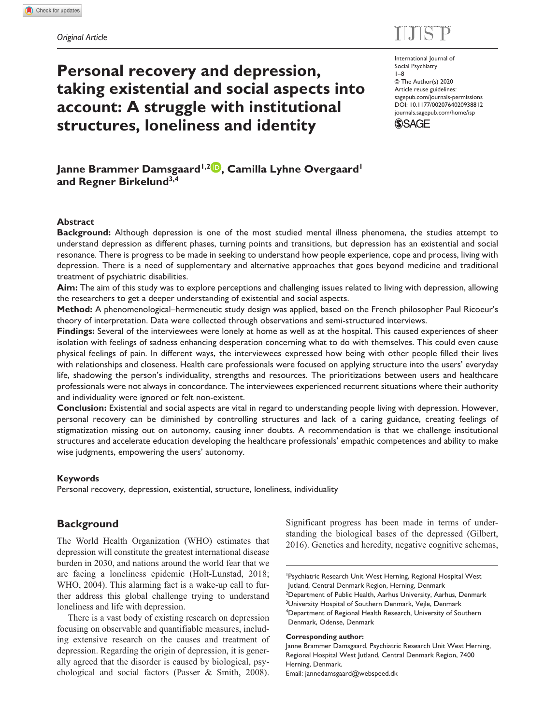# $E = 100$

# **Personal recovery and depression, taking existential and social aspects into account: A struggle with institutional structures, loneliness and identity**

International Journal of Social Psychiatry 1–8 © The Author(s) 2020 Article reuse guidelines: [sagepub.com/journals-permissions](https://uk.sagepub.com/en-gb/journals-permissions) DOI: 10.1177/0020764020938812 [journals.sagepub.com/home/isp](https://journals.sagepub.com/home/isp) **SSAGE** 

Janne Brammer Damsgaard<sup>1,2</sup><sup>(p</sup>, Camilla Lyhne Overgaard<sup>1</sup> **and Regner Birkelund3,4**

#### **Abstract**

**Background:** Although depression is one of the most studied mental illness phenomena, the studies attempt to understand depression as different phases, turning points and transitions, but depression has an existential and social resonance. There is progress to be made in seeking to understand how people experience, cope and process, living with depression. There is a need of supplementary and alternative approaches that goes beyond medicine and traditional treatment of psychiatric disabilities.

**Aim:** The aim of this study was to explore perceptions and challenging issues related to living with depression, allowing the researchers to get a deeper understanding of existential and social aspects.

**Method:** A phenomenological–hermeneutic study design was applied, based on the French philosopher Paul Ricoeur's theory of interpretation. Data were collected through observations and semi-structured interviews.

**Findings:** Several of the interviewees were lonely at home as well as at the hospital. This caused experiences of sheer isolation with feelings of sadness enhancing desperation concerning what to do with themselves. This could even cause physical feelings of pain. In different ways, the interviewees expressed how being with other people filled their lives with relationships and closeness. Health care professionals were focused on applying structure into the users' everyday life, shadowing the person's individuality, strengths and resources. The prioritizations between users and healthcare professionals were not always in concordance. The interviewees experienced recurrent situations where their authority and individuality were ignored or felt non-existent.

**Conclusion:** Existential and social aspects are vital in regard to understanding people living with depression. However, personal recovery can be diminished by controlling structures and lack of a caring guidance, creating feelings of stigmatization missing out on autonomy, causing inner doubts. A recommendation is that we challenge institutional structures and accelerate education developing the healthcare professionals' empathic competences and ability to make wise judgments, empowering the users' autonomy.

#### **Keywords**

Personal recovery, depression, existential, structure, loneliness, individuality

## **Background**

The World Health Organization (WHO) estimates that depression will constitute the greatest international disease burden in 2030, and nations around the world fear that we are facing a loneliness epidemic (Holt-Lunstad, 2018; WHO, 2004). This alarming fact is a wake-up call to further address this global challenge trying to understand loneliness and life with depression.

There is a vast body of existing research on depression focusing on observable and quantifiable measures, including extensive research on the causes and treatment of depression. Regarding the origin of depression, it is generally agreed that the disorder is caused by biological, psychological and social factors (Passer & Smith, 2008).

Significant progress has been made in terms of understanding the biological bases of the depressed (Gilbert, 2016). Genetics and heredity, negative cognitive schemas,

#### **Corresponding author:**

Janne Brammer Damsgaard, Psychiatric Research Unit West Herning, Regional Hospital West Jutland, Central Denmark Region, 7400 Herning, Denmark. Email: jannedamsgaard@webspeed.dk

<sup>1</sup> Psychiatric Research Unit West Herning, Regional Hospital West Jutland, Central Denmark Region, Herning, Denmark <sup>2</sup>Department of Public Health, Aarhus University, Aarhus, Denmark <sup>3</sup>University Hospital of Southern Denmark, Vejle, Denmark 4 Department of Regional Health Research, University of Southern Denmark, Odense, Denmark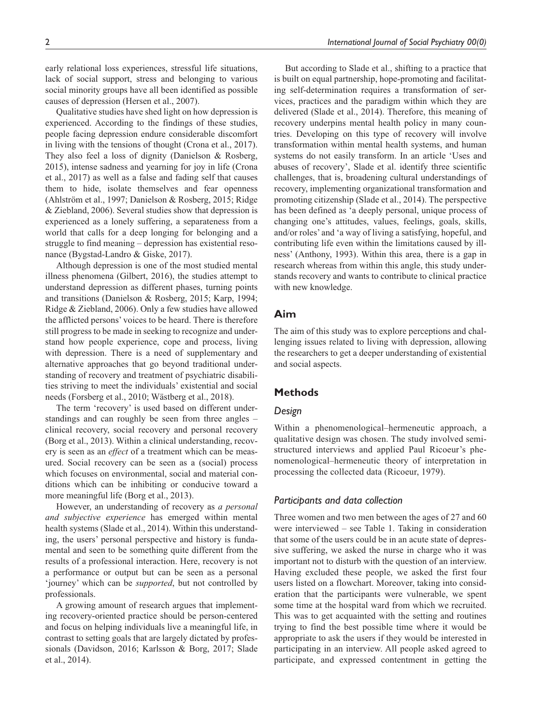early relational loss experiences, stressful life situations, lack of social support, stress and belonging to various social minority groups have all been identified as possible causes of depression (Hersen et al., 2007).

Qualitative studies have shed light on how depression is experienced. According to the findings of these studies, people facing depression endure considerable discomfort in living with the tensions of thought (Crona et al., 2017). They also feel a loss of dignity (Danielson & Rosberg, 2015), intense sadness and yearning for joy in life (Crona et al., 2017) as well as a false and fading self that causes them to hide, isolate themselves and fear openness (Ahlström et al., 1997; Danielson & Rosberg, 2015; Ridge & Ziebland, 2006). Several studies show that depression is experienced as a lonely suffering, a separateness from a world that calls for a deep longing for belonging and a struggle to find meaning – depression has existential resonance (Bygstad-Landro & Giske, 2017).

Although depression is one of the most studied mental illness phenomena (Gilbert, 2016), the studies attempt to understand depression as different phases, turning points and transitions (Danielson & Rosberg, 2015; Karp, 1994; Ridge & Ziebland, 2006). Only a few studies have allowed the afflicted persons' voices to be heard. There is therefore still progress to be made in seeking to recognize and understand how people experience, cope and process, living with depression. There is a need of supplementary and alternative approaches that go beyond traditional understanding of recovery and treatment of psychiatric disabilities striving to meet the individuals' existential and social needs (Forsberg et al., 2010; Wästberg et al., 2018).

The term 'recovery' is used based on different understandings and can roughly be seen from three angles – clinical recovery, social recovery and personal recovery (Borg et al., 2013). Within a clinical understanding, recovery is seen as an *effect* of a treatment which can be measured. Social recovery can be seen as a (social) process which focuses on environmental, social and material conditions which can be inhibiting or conducive toward a more meaningful life (Borg et al., 2013).

However, an understanding of recovery as *a personal and subjective experience* has emerged within mental health systems (Slade et al., 2014). Within this understanding, the users' personal perspective and history is fundamental and seen to be something quite different from the results of a professional interaction. Here, recovery is not a performance or output but can be seen as a personal 'journey' which can be *supported*, but not controlled by professionals.

A growing amount of research argues that implementing recovery-oriented practice should be person-centered and focus on helping individuals live a meaningful life, in contrast to setting goals that are largely dictated by professionals (Davidson, 2016; Karlsson & Borg, 2017; Slade et al., 2014).

But according to Slade et al., shifting to a practice that is built on equal partnership, hope-promoting and facilitating self-determination requires a transformation of services, practices and the paradigm within which they are delivered (Slade et al., 2014). Therefore, this meaning of recovery underpins mental health policy in many countries. Developing on this type of recovery will involve transformation within mental health systems, and human systems do not easily transform. In an article 'Uses and abuses of recovery', Slade et al. identify three scientific challenges, that is, broadening cultural understandings of recovery, implementing organizational transformation and promoting citizenship (Slade et al., 2014). The perspective has been defined as 'a deeply personal, unique process of changing one's attitudes, values, feelings, goals, skills, and/or roles' and 'a way of living a satisfying, hopeful, and contributing life even within the limitations caused by illness' (Anthony, 1993). Within this area, there is a gap in research whereas from within this angle, this study understands recovery and wants to contribute to clinical practice with new knowledge.

### **Aim**

The aim of this study was to explore perceptions and challenging issues related to living with depression, allowing the researchers to get a deeper understanding of existential and social aspects.

#### **Methods**

#### *Design*

Within a phenomenological–hermeneutic approach, a qualitative design was chosen. The study involved semistructured interviews and applied Paul Ricoeur's phenomenological–hermeneutic theory of interpretation in processing the collected data (Ricoeur, 1979).

### *Participants and data collection*

Three women and two men between the ages of 27 and 60 were interviewed – see Table 1. Taking in consideration that some of the users could be in an acute state of depressive suffering, we asked the nurse in charge who it was important not to disturb with the question of an interview. Having excluded these people, we asked the first four users listed on a flowchart. Moreover, taking into consideration that the participants were vulnerable, we spent some time at the hospital ward from which we recruited. This was to get acquainted with the setting and routines trying to find the best possible time where it would be appropriate to ask the users if they would be interested in participating in an interview. All people asked agreed to participate, and expressed contentment in getting the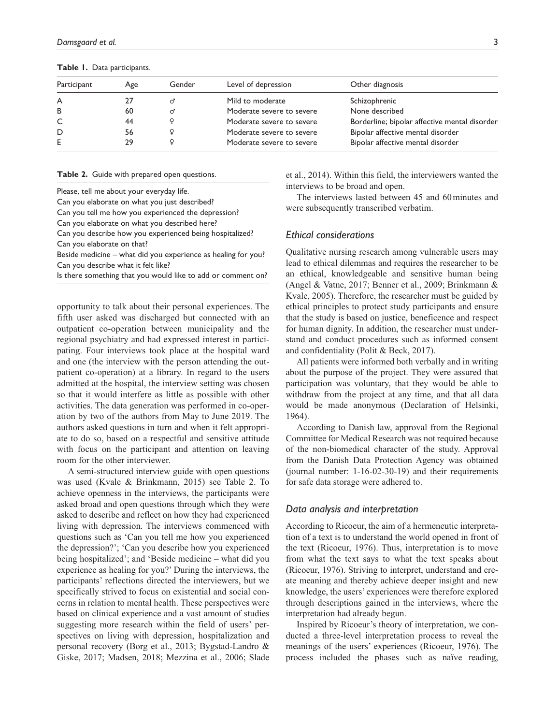**Table 1.** Data participants.

| Participant | Age | Gender | Level of depression       | Other diagnosis                               |
|-------------|-----|--------|---------------------------|-----------------------------------------------|
| A           | 27  |        | Mild to moderate          | Schizophrenic                                 |
| B           | 60  | σ      | Moderate severe to severe | None described                                |
| C           | 44  |        | Moderate severe to severe | Borderline; bipolar affective mental disorder |
| D           | 56  |        | Moderate severe to severe | Bipolar affective mental disorder             |
| E           | 29  |        | Moderate severe to severe | Bipolar affective mental disorder             |

**Table 2.** Guide with prepared open questions.

Please, tell me about your everyday life.

Can you elaborate on what you just described?

Can you tell me how you experienced the depression?

Can you elaborate on what you described here?

Can you describe how you experienced being hospitalized?

Can you elaborate on that?

Beside medicine – what did you experience as healing for you? Can you describe what it felt like?

Is there something that you would like to add or comment on?

opportunity to talk about their personal experiences. The fifth user asked was discharged but connected with an outpatient co-operation between municipality and the regional psychiatry and had expressed interest in participating. Four interviews took place at the hospital ward and one (the interview with the person attending the outpatient co-operation) at a library. In regard to the users admitted at the hospital, the interview setting was chosen so that it would interfere as little as possible with other activities. The data generation was performed in co-operation by two of the authors from May to June 2019. The authors asked questions in turn and when it felt appropriate to do so, based on a respectful and sensitive attitude with focus on the participant and attention on leaving room for the other interviewer.

A semi-structured interview guide with open questions was used (Kvale & Brinkmann, 2015) see Table 2. To achieve openness in the interviews, the participants were asked broad and open questions through which they were asked to describe and reflect on how they had experienced living with depression. The interviews commenced with questions such as 'Can you tell me how you experienced the depression?'; 'Can you describe how you experienced being hospitalized'; and 'Beside medicine – what did you experience as healing for you?' During the interviews, the participants' reflections directed the interviewers, but we specifically strived to focus on existential and social concerns in relation to mental health. These perspectives were based on clinical experience and a vast amount of studies suggesting more research within the field of users' perspectives on living with depression, hospitalization and personal recovery (Borg et al., 2013; Bygstad-Landro & Giske, 2017; Madsen, 2018; Mezzina et al., 2006; Slade et al., 2014). Within this field, the interviewers wanted the interviews to be broad and open.

The interviews lasted between 45 and 60minutes and were subsequently transcribed verbatim.

#### *Ethical considerations*

Qualitative nursing research among vulnerable users may lead to ethical dilemmas and requires the researcher to be an ethical, knowledgeable and sensitive human being (Angel & Vatne, 2017; Benner et al., 2009; Brinkmann & Kvale, 2005). Therefore, the researcher must be guided by ethical principles to protect study participants and ensure that the study is based on justice, beneficence and respect for human dignity. In addition, the researcher must understand and conduct procedures such as informed consent and confidentiality (Polit & Beck, 2017).

All patients were informed both verbally and in writing about the purpose of the project. They were assured that participation was voluntary, that they would be able to withdraw from the project at any time, and that all data would be made anonymous (Declaration of Helsinki, 1964).

According to Danish law, approval from the Regional Committee for Medical Research was not required because of the non-biomedical character of the study. Approval from the Danish Data Protection Agency was obtained (journal number: 1-16-02-30-19) and their requirements for safe data storage were adhered to.

#### *Data analysis and interpretation*

According to Ricoeur, the aim of a hermeneutic interpretation of a text is to understand the world opened in front of the text (Ricoeur, 1976). Thus, interpretation is to move from what the text says to what the text speaks about (Ricoeur, 1976). Striving to interpret, understand and create meaning and thereby achieve deeper insight and new knowledge, the users' experiences were therefore explored through descriptions gained in the interviews, where the interpretation had already begun.

Inspired by Ricoeur's theory of interpretation, we conducted a three-level interpretation process to reveal the meanings of the users' experiences (Ricoeur, 1976). The process included the phases such as naïve reading,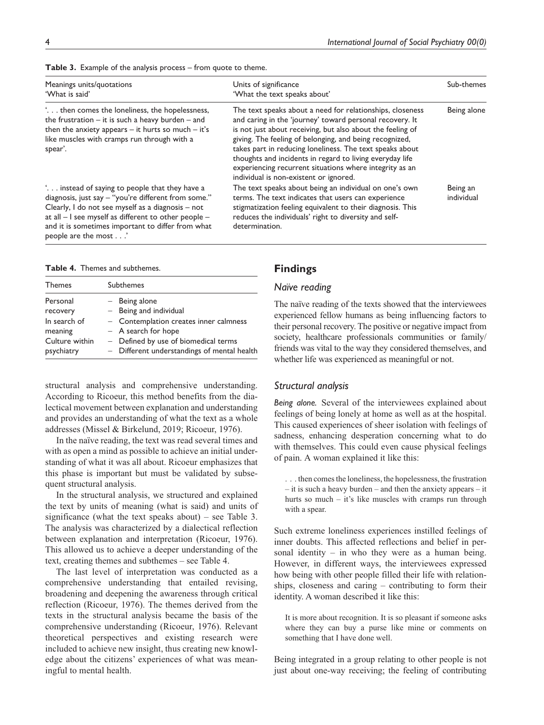| Meanings units/quotations<br>'What is said'                                                                                                                                                                                                                                                     | Units of significance<br>'What the text speaks about'                                                                                                                                                                                                                                                                                                                                                                                                                       | Sub-themes             |
|-------------------------------------------------------------------------------------------------------------------------------------------------------------------------------------------------------------------------------------------------------------------------------------------------|-----------------------------------------------------------------------------------------------------------------------------------------------------------------------------------------------------------------------------------------------------------------------------------------------------------------------------------------------------------------------------------------------------------------------------------------------------------------------------|------------------------|
| then comes the loneliness, the hopelessness,<br>the frustration $-$ it is such a heavy burden $-$ and<br>then the anxiety appears $-$ it hurts so much $-$ it's<br>like muscles with cramps run through with a<br>spear'.                                                                       | The text speaks about a need for relationships, closeness<br>and caring in the 'journey' toward personal recovery. It<br>is not just about receiving, but also about the feeling of<br>giving. The feeling of belonging, and being recognized,<br>takes part in reducing loneliness. The text speaks about<br>thoughts and incidents in regard to living everyday life<br>experiencing recurrent situations where integrity as an<br>individual is non-existent or ignored. | Being alone            |
| " instead of saying to people that they have a<br>diagnosis, just say - "you're different from some."<br>Clearly, I do not see myself as a diagnosis - not<br>at all - I see myself as different to other people -<br>and it is sometimes important to differ from what<br>people are the most' | The text speaks about being an individual on one's own<br>terms. The text indicates that users can experience<br>stigmatization feeling equivalent to their diagnosis. This<br>reduces the individuals' right to diversity and self-<br>determination.                                                                                                                                                                                                                      | Being an<br>individual |

| <b>Table 3.</b> Example of the analysis process $-$ from quote to theme. |
|--------------------------------------------------------------------------|
|--------------------------------------------------------------------------|

**Table 4.** Themes and subthemes.

| <b>Themes</b>                | <b>Subthemes</b>                                                                    |
|------------------------------|-------------------------------------------------------------------------------------|
| Personal<br>recovery         | $-$ Being alone<br>$-$ Being and individual                                         |
| In search of<br>meaning      | - Contemplation creates inner calmness<br>$-$ A search for hope                     |
| Culture within<br>psychiatry | - Defined by use of biomedical terms<br>- Different understandings of mental health |

structural analysis and comprehensive understanding. According to Ricoeur, this method benefits from the dialectical movement between explanation and understanding and provides an understanding of what the text as a whole addresses (Missel & Birkelund, 2019; Ricoeur, 1976).

In the naïve reading, the text was read several times and with as open a mind as possible to achieve an initial understanding of what it was all about. Ricoeur emphasizes that this phase is important but must be validated by subsequent structural analysis.

In the structural analysis, we structured and explained the text by units of meaning (what is said) and units of significance (what the text speaks about) – see Table 3. The analysis was characterized by a dialectical reflection between explanation and interpretation (Ricoeur, 1976). This allowed us to achieve a deeper understanding of the text, creating themes and subthemes – see Table 4.

The last level of interpretation was conducted as a comprehensive understanding that entailed revising, broadening and deepening the awareness through critical reflection (Ricoeur, 1976). The themes derived from the texts in the structural analysis became the basis of the comprehensive understanding (Ricoeur, 1976). Relevant theoretical perspectives and existing research were included to achieve new insight, thus creating new knowledge about the citizens' experiences of what was meaningful to mental health.

#### **Findings**

#### *Naïve reading*

The naïve reading of the texts showed that the interviewees experienced fellow humans as being influencing factors to their personal recovery. The positive or negative impact from society, healthcare professionals communities or family/ friends was vital to the way they considered themselves, and whether life was experienced as meaningful or not.

#### *Structural analysis*

*Being alone.* Several of the interviewees explained about feelings of being lonely at home as well as at the hospital. This caused experiences of sheer isolation with feelings of sadness, enhancing desperation concerning what to do with themselves. This could even cause physical feelings of pain. A woman explained it like this:

. . . then comes the loneliness, the hopelessness, the frustration – it is such a heavy burden – and then the anxiety appears – it hurts so much – it's like muscles with cramps run through with a spear.

Such extreme loneliness experiences instilled feelings of inner doubts. This affected reflections and belief in personal identity – in who they were as a human being. However, in different ways, the interviewees expressed how being with other people filled their life with relationships, closeness and caring – contributing to form their identity. A woman described it like this:

It is more about recognition. It is so pleasant if someone asks where they can buy a purse like mine or comments on something that I have done well.

Being integrated in a group relating to other people is not just about one-way receiving; the feeling of contributing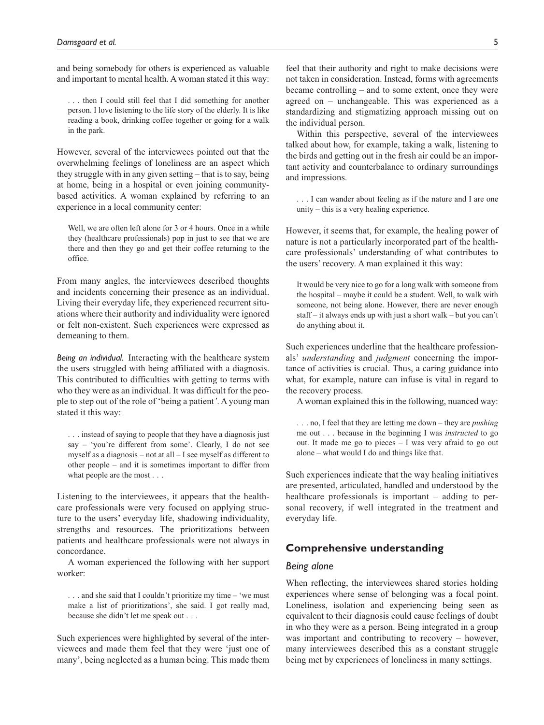and being somebody for others is experienced as valuable and important to mental health. A woman stated it this way:

. . . then I could still feel that I did something for another person. I love listening to the life story of the elderly. It is like reading a book, drinking coffee together or going for a walk in the park.

However, several of the interviewees pointed out that the overwhelming feelings of loneliness are an aspect which they struggle with in any given setting – that is to say, being at home, being in a hospital or even joining communitybased activities. A woman explained by referring to an experience in a local community center:

Well, we are often left alone for 3 or 4 hours. Once in a while they (healthcare professionals) pop in just to see that we are there and then they go and get their coffee returning to the office.

From many angles, the interviewees described thoughts and incidents concerning their presence as an individual. Living their everyday life, they experienced recurrent situations where their authority and individuality were ignored or felt non-existent. Such experiences were expressed as demeaning to them.

*Being an individual.* Interacting with the healthcare system the users struggled with being affiliated with a diagnosis. This contributed to difficulties with getting to terms with who they were as an individual. It was difficult for the people to step out of the role of 'being a patient*'*. A young man stated it this way:

. . . instead of saying to people that they have a diagnosis just say – 'you're different from some'. Clearly, I do not see myself as a diagnosis – not at all – I see myself as different to other people – and it is sometimes important to differ from what people are the most . . .

Listening to the interviewees, it appears that the healthcare professionals were very focused on applying structure to the users' everyday life, shadowing individuality, strengths and resources. The prioritizations between patients and healthcare professionals were not always in concordance.

A woman experienced the following with her support worker:

. . . and she said that I couldn't prioritize my time – 'we must make a list of prioritizations', she said. I got really mad, because she didn't let me speak out . . .

Such experiences were highlighted by several of the interviewees and made them feel that they were 'just one of many', being neglected as a human being. This made them

feel that their authority and right to make decisions were not taken in consideration. Instead, forms with agreements became controlling – and to some extent, once they were agreed on – unchangeable. This was experienced as a standardizing and stigmatizing approach missing out on the individual person.

Within this perspective, several of the interviewees talked about how, for example, taking a walk, listening to the birds and getting out in the fresh air could be an important activity and counterbalance to ordinary surroundings and impressions.

. . . I can wander about feeling as if the nature and I are one unity – this is a very healing experience.

However, it seems that, for example, the healing power of nature is not a particularly incorporated part of the healthcare professionals' understanding of what contributes to the users' recovery. A man explained it this way:

It would be very nice to go for a long walk with someone from the hospital – maybe it could be a student. Well, to walk with someone, not being alone. However, there are never enough staff – it always ends up with just a short walk – but you can't do anything about it.

Such experiences underline that the healthcare professionals' *understanding* and *judgment* concerning the importance of activities is crucial. Thus, a caring guidance into what, for example, nature can infuse is vital in regard to the recovery process.

A woman explained this in the following, nuanced way:

. . . no, I feel that they are letting me down – they are *pushing* me out . . . because in the beginning I was *instructed* to go out. It made me go to pieces – I was very afraid to go out alone – what would I do and things like that.

Such experiences indicate that the way healing initiatives are presented, articulated, handled and understood by the healthcare professionals is important – adding to personal recovery, if well integrated in the treatment and everyday life.

#### **Comprehensive understanding**

## *Being alone*

When reflecting, the interviewees shared stories holding experiences where sense of belonging was a focal point. Loneliness, isolation and experiencing being seen as equivalent to their diagnosis could cause feelings of doubt in who they were as a person. Being integrated in a group was important and contributing to recovery – however, many interviewees described this as a constant struggle being met by experiences of loneliness in many settings.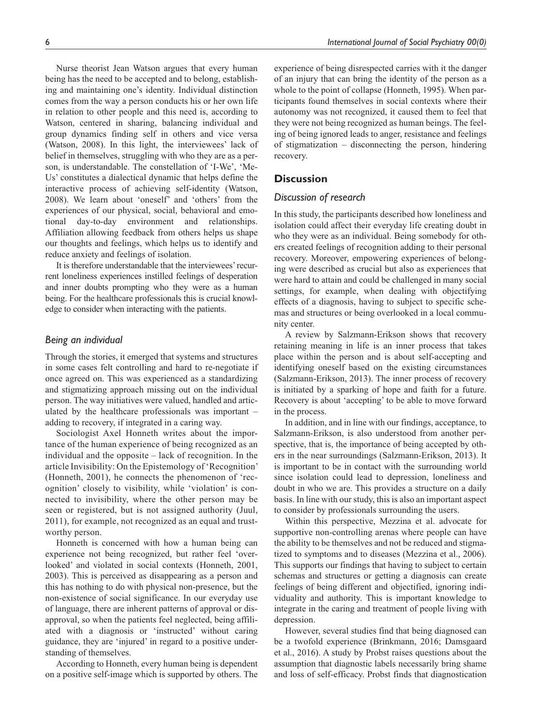Nurse theorist Jean Watson argues that every human being has the need to be accepted and to belong, establishing and maintaining one's identity. Individual distinction comes from the way a person conducts his or her own life in relation to other people and this need is, according to Watson, centered in sharing, balancing individual and group dynamics finding self in others and vice versa (Watson, 2008). In this light, the interviewees' lack of belief in themselves, struggling with who they are as a person, is understandable. The constellation of 'I-We', 'Me-Us' constitutes a dialectical dynamic that helps define the interactive process of achieving self-identity (Watson, 2008). We learn about 'oneself' and 'others' from the experiences of our physical, social, behavioral and emotional day-to-day environment and relationships. Affiliation allowing feedback from others helps us shape our thoughts and feelings, which helps us to identify and reduce anxiety and feelings of isolation.

It is therefore understandable that the interviewees' recurrent loneliness experiences instilled feelings of desperation and inner doubts prompting who they were as a human being. For the healthcare professionals this is crucial knowledge to consider when interacting with the patients.

#### *Being an individual*

Through the stories, it emerged that systems and structures in some cases felt controlling and hard to re-negotiate if once agreed on. This was experienced as a standardizing and stigmatizing approach missing out on the individual person. The way initiatives were valued, handled and articulated by the healthcare professionals was important – adding to recovery, if integrated in a caring way.

Sociologist Axel Honneth writes about the importance of the human experience of being recognized as an individual and the opposite – lack of recognition. In the article Invisibility: On the Epistemology of 'Recognition' (Honneth, 2001), he connects the phenomenon of 'recognition' closely to visibility, while 'violation' is connected to invisibility, where the other person may be seen or registered, but is not assigned authority (Juul, 2011), for example, not recognized as an equal and trustworthy person.

Honneth is concerned with how a human being can experience not being recognized, but rather feel 'overlooked' and violated in social contexts (Honneth, 2001, 2003). This is perceived as disappearing as a person and this has nothing to do with physical non-presence, but the non-existence of social significance. In our everyday use of language, there are inherent patterns of approval or disapproval, so when the patients feel neglected, being affiliated with a diagnosis or 'instructed' without caring guidance, they are 'injured' in regard to a positive understanding of themselves.

According to Honneth, every human being is dependent on a positive self-image which is supported by others. The

experience of being disrespected carries with it the danger of an injury that can bring the identity of the person as a whole to the point of collapse (Honneth, 1995). When participants found themselves in social contexts where their autonomy was not recognized, it caused them to feel that they were not being recognized as human beings. The feeling of being ignored leads to anger, resistance and feelings of stigmatization – disconnecting the person, hindering recovery.

# **Discussion**

#### *Discussion of research*

In this study, the participants described how loneliness and isolation could affect their everyday life creating doubt in who they were as an individual. Being somebody for others created feelings of recognition adding to their personal recovery. Moreover, empowering experiences of belonging were described as crucial but also as experiences that were hard to attain and could be challenged in many social settings, for example, when dealing with objectifying effects of a diagnosis, having to subject to specific schemas and structures or being overlooked in a local community center.

A review by Salzmann-Erikson shows that recovery retaining meaning in life is an inner process that takes place within the person and is about self-accepting and identifying oneself based on the existing circumstances (Salzmann-Erikson, 2013). The inner process of recovery is initiated by a sparking of hope and faith for a future. Recovery is about 'accepting' to be able to move forward in the process.

In addition, and in line with our findings, acceptance, to Salzmann-Erikson, is also understood from another perspective, that is, the importance of being accepted by others in the near surroundings (Salzmann-Erikson, 2013). It is important to be in contact with the surrounding world since isolation could lead to depression, loneliness and doubt in who we are. This provides a structure on a daily basis. In line with our study, this is also an important aspect to consider by professionals surrounding the users.

Within this perspective, Mezzina et al. advocate for supportive non-controlling arenas where people can have the ability to be themselves and not be reduced and stigmatized to symptoms and to diseases (Mezzina et al., 2006). This supports our findings that having to subject to certain schemas and structures or getting a diagnosis can create feelings of being different and objectified, ignoring individuality and authority. This is important knowledge to integrate in the caring and treatment of people living with depression.

However, several studies find that being diagnosed can be a twofold experience (Brinkmann, 2016; Damsgaard et al., 2016). A study by Probst raises questions about the assumption that diagnostic labels necessarily bring shame and loss of self-efficacy. Probst finds that diagnostication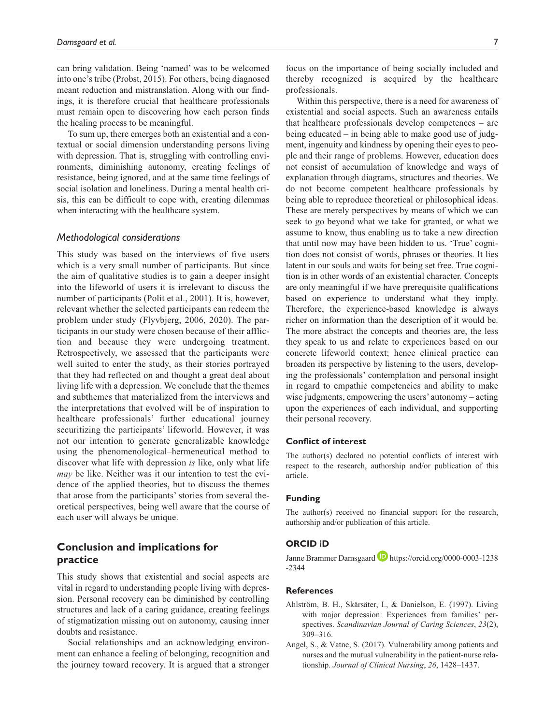can bring validation. Being 'named' was to be welcomed into one's tribe (Probst, 2015). For others, being diagnosed meant reduction and mistranslation. Along with our findings, it is therefore crucial that healthcare professionals must remain open to discovering how each person finds the healing process to be meaningful.

To sum up, there emerges both an existential and a contextual or social dimension understanding persons living with depression. That is, struggling with controlling environments, diminishing autonomy, creating feelings of resistance, being ignored, and at the same time feelings of social isolation and loneliness. During a mental health crisis, this can be difficult to cope with, creating dilemmas when interacting with the healthcare system.

#### *Methodological considerations*

This study was based on the interviews of five users which is a very small number of participants. But since the aim of qualitative studies is to gain a deeper insight into the lifeworld of users it is irrelevant to discuss the number of participants (Polit et al., 2001). It is, however, relevant whether the selected participants can redeem the problem under study (Flyvbjerg, 2006, 2020). The participants in our study were chosen because of their affliction and because they were undergoing treatment. Retrospectively, we assessed that the participants were well suited to enter the study, as their stories portrayed that they had reflected on and thought a great deal about living life with a depression. We conclude that the themes and subthemes that materialized from the interviews and the interpretations that evolved will be of inspiration to healthcare professionals' further educational journey securitizing the participants' lifeworld. However, it was not our intention to generate generalizable knowledge using the phenomenological–hermeneutical method to discover what life with depression *is* like, only what life *may* be like. Neither was it our intention to test the evidence of the applied theories, but to discuss the themes that arose from the participants' stories from several theoretical perspectives, being well aware that the course of each user will always be unique.

# **Conclusion and implications for practice**

This study shows that existential and social aspects are vital in regard to understanding people living with depression. Personal recovery can be diminished by controlling structures and lack of a caring guidance, creating feelings of stigmatization missing out on autonomy, causing inner doubts and resistance.

Social relationships and an acknowledging environment can enhance a feeling of belonging, recognition and the journey toward recovery. It is argued that a stronger

focus on the importance of being socially included and thereby recognized is acquired by the healthcare professionals.

Within this perspective, there is a need for awareness of existential and social aspects. Such an awareness entails that healthcare professionals develop competences – are being educated – in being able to make good use of judgment, ingenuity and kindness by opening their eyes to people and their range of problems. However, education does not consist of accumulation of knowledge and ways of explanation through diagrams, structures and theories. We do not become competent healthcare professionals by being able to reproduce theoretical or philosophical ideas. These are merely perspectives by means of which we can seek to go beyond what we take for granted, or what we assume to know, thus enabling us to take a new direction that until now may have been hidden to us. 'True' cognition does not consist of words, phrases or theories. It lies latent in our souls and waits for being set free. True cognition is in other words of an existential character. Concepts are only meaningful if we have prerequisite qualifications based on experience to understand what they imply. Therefore, the experience-based knowledge is always richer on information than the description of it would be. The more abstract the concepts and theories are, the less they speak to us and relate to experiences based on our concrete lifeworld context; hence clinical practice can broaden its perspective by listening to the users, developing the professionals' contemplation and personal insight in regard to empathic competencies and ability to make wise judgments, empowering the users' autonomy – acting upon the experiences of each individual, and supporting their personal recovery.

#### **Conflict of interest**

The author(s) declared no potential conflicts of interest with respect to the research, authorship and/or publication of this article.

#### **Funding**

The author(s) received no financial support for the research, authorship and/or publication of this article.

#### **ORCID iD**

Janne Brammer Damsgaard **D** [https://orcid.org/0000-0003-1238](https://orcid.org/0000-0003-1238-2344) [-2344](https://orcid.org/0000-0003-1238-2344)

# **References**

- Ahlström, B. H., Skärsäter, I., & Danielson, E. (1997). Living with major depression: Experiences from families' perspectives. *Scandinavian Journal of Caring Sciences*, *23*(2), 309–316.
- Angel, S., & Vatne, S. (2017). Vulnerability among patients and nurses and the mutual vulnerability in the patient-nurse relationship. *Journal of Clinical Nursing*, *26*, 1428–1437.